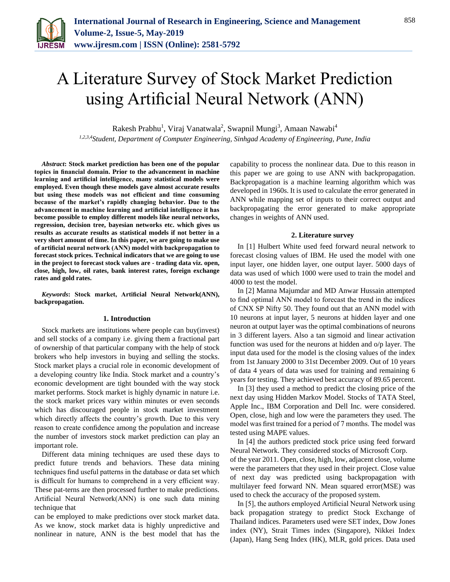

# A Literature Survey of Stock Market Prediction using Artificial Neural Network (ANN)

Rakesh Prabhu<sup>1</sup>, Viraj Vanatwala<sup>2</sup>, Swapnil Mungi<sup>3</sup>, Amaan Nawabi<sup>4</sup> *1,2,3,4Student, Department of Computer Engineering, Sinhgad Academy of Engineering, Pune, India*

*Abstract***: Stock market prediction has been one of the popular topics in financial domain. Prior to the advancement in machine learning and artificial intelligence, many statistical models were employed. Even though these models gave almost accurate results but using these models was not efficient and time consuming because of the market's rapidly changing behavior. Due to the advancement in machine learning and artificial intelligence it has become possible to employ different models like neural networks, regression, decision tree, bayesian networks etc. which gives us results as accurate results as statistical models if not better in a very short amount of time. In this paper, we are going to make use of artificial neural network (ANN) model with backpropagation to forecast stock prices. Technical indicators that we are going to use in the project to forecast stock values are - trading data viz. open, close, high, low, oil rates, bank interest rates, foreign exchange rates and gold rates.**

*Keywords***: Stock market, Artificial Neural Network(ANN), backpropagation.**

#### **1. Introduction**

Stock markets are institutions where people can buy(invest) and sell stocks of a company i.e. giving them a fractional part of ownership of that particular company with the help of stock brokers who help investors in buying and selling the stocks. Stock market plays a crucial role in economic development of a developing country like India. Stock market and a country's economic development are tight bounded with the way stock market performs. Stock market is highly dynamic in nature i.e. the stock market prices vary within minutes or even seconds which has discouraged people in stock market investment which directly affects the country's growth. Due to this very reason to create confidence among the population and increase the number of investors stock market prediction can play an important role.

Different data mining techniques are used these days to predict future trends and behaviors. These data mining techniques find useful patterns in the database or data set which is difficult for humans to comprehend in a very efficient way. These pat-terns are then processed further to make predictions. Artificial Neural Network(ANN) is one such data mining technique that

can be employed to make predictions over stock market data. As we know, stock market data is highly unpredictive and nonlinear in nature, ANN is the best model that has the capability to process the nonlinear data. Due to this reason in this paper we are going to use ANN with backpropagation. Backpropagation is a machine learning algorithm which was developed in 1960s. It is used to calculate the error generated in ANN while mapping set of inputs to their correct output and backpropagating the error generated to make appropriate changes in weights of ANN used.

#### **2. Literature survey**

In [1] Hulbert White used feed forward neural network to forecast closing values of IBM. He used the model with one input layer, one hidden layer, one output layer. 5000 days of data was used of which 1000 were used to train the model and 4000 to test the model.

In [2] Manna Majumdar and MD Anwar Hussain attempted to find optimal ANN model to forecast the trend in the indices of CNX SP Nifty 50. They found out that an ANN model with 10 neurons at input layer, 5 neurons at hidden layer and one neuron at output layer was the optimal combinations of neurons in 3 different layers. Also a tan sigmoid and linear activation function was used for the neurons at hidden and o/p layer. The input data used for the model is the closing values of the index from 1st January 2000 to 31st December 2009. Out of 10 years of data 4 years of data was used for training and remaining 6 years for testing. They achieved best accuracy of 89.65 percent.

In [3] they used a method to predict the closing price of the next day using Hidden Markov Model. Stocks of TATA Steel, Apple Inc., IBM Corporation and Dell Inc. were considered. Open, close, high and low were the parameters they used. The model was first trained for a period of 7 months. The model was tested using MAPE values.

In [4] the authors predicted stock price using feed forward Neural Network. They considered stocks of Microsoft Corp.

of the year 2011. Open, close, high, low, adjacent close, volume were the parameters that they used in their project. Close value of next day was predicted using backpropagation with multilayer feed forward NN. Mean squared error(MSE) was used to check the accuracy of the proposed system.

In [5], the authors employed Artificial Neural Network using back propagation strategy to predict Stock Exchange of Thailand indices. Parameters used were SET index, Dow Jones index (NY), Strait Times index (Singapore), Nikkei Index (Japan), Hang Seng Index (HK), MLR, gold prices. Data used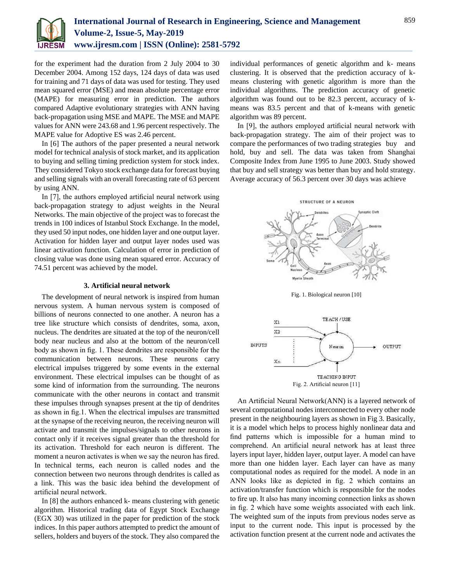

for the experiment had the duration from 2 July 2004 to 30 December 2004. Among 152 days, 124 days of data was used for training and 71 days of data was used for testing. They used mean squared error (MSE) and mean absolute percentage error (MAPE) for measuring error in prediction. The authors compared Adaptive evolutionary strategies with ANN having back-propagation using MSE and MAPE. The MSE and MAPE values for ANN were 243.68 and 1.96 percent respectively. The MAPE value for Adoptive ES was 2.46 percent.

In [6] The authors of the paper presented a neural network model for technical analysis of stock market, and its application to buying and selling timing prediction system for stock index. They considered Tokyo stock exchange data for forecast buying and selling signals with an overall forecasting rate of 63 percent by using ANN.

In [7], the authors employed artificial neural network using back-propagation strategy to adjust weights in the Neural Networks. The main objective of the project was to forecast the trends in 100 indices of Istanbul Stock Exchange. In the model, they used 50 input nodes, one hidden layer and one output layer. Activation for hidden layer and output layer nodes used was linear activation function. Calculation of error in prediction of closing value was done using mean squared error. Accuracy of 74.51 percent was achieved by the model.

#### **3. Artificial neural network**

The development of neural network is inspired from human nervous system. A human nervous system is composed of billions of neurons connected to one another. A neuron has a tree like structure which consists of dendrites, soma, axon, nucleus. The dendrites are situated at the top of the neuron/cell body near nucleus and also at the bottom of the neuron/cell body as shown in fig. 1. These dendrites are responsible for the communication between neurons. These neurons carry electrical impulses triggered by some events in the external environment. These electrical impulses can be thought of as some kind of information from the surrounding. The neurons communicate with the other neurons in contact and transmit these impulses through synapses present at the tip of dendrites as shown in fig.1. When the electrical impulses are transmitted at the synapse of the receiving neuron, the receiving neuron will activate and transmit the impulses/signals to other neurons in contact only if it receives signal greater than the threshold for its activation. Threshold for each neuron is different. The moment a neuron activates is when we say the neuron has fired. In technical terms, each neuron is called nodes and the connection between two neurons through dendrites is called as a link. This was the basic idea behind the development of artificial neural network.

In [8] the authors enhanced k- means clustering with genetic algorithm. Historical trading data of Egypt Stock Exchange (EGX 30) was utilized in the paper for prediction of the stock indices. In this paper authors attempted to predict the amount of sellers, holders and buyers of the stock. They also compared the

individual performances of genetic algorithm and k- means clustering. It is observed that the prediction accuracy of kmeans clustering with genetic algorithm is more than the individual algorithms. The prediction accuracy of genetic algorithm was found out to be 82.3 percent, accuracy of kmeans was 83.5 percent and that of k-means with genetic algorithm was 89 percent.

In [9], the authors employed artificial neural network with back-propagation strategy. The aim of their project was to compare the performances of two trading strategies buy and hold, buy and sell. The data was taken from Shanghai Composite Index from June 1995 to June 2003. Study showed that buy and sell strategy was better than buy and hold strategy. Average accuracy of 56.3 percent over 30 days was achieve







An Artificial Neural Network(ANN) is a layered network of several computational nodes interconnected to every other node present in the neighbouring layers as shown in Fig 3. Basically, it is a model which helps to process highly nonlinear data and find patterns which is impossible for a human mind to comprehend. An artificial neural network has at least three layers input layer, hidden layer, output layer. A model can have more than one hidden layer. Each layer can have as many computational nodes as required for the model. A node in an ANN looks like as depicted in fig. 2 which contains an activation/transfer function which is responsible for the nodes to fire up. It also has many incoming connection links as shown in fig. 2 which have some weights associated with each link. The weighted sum of the inputs from previous nodes serve as input to the current node. This input is processed by the activation function present at the current node and activates the